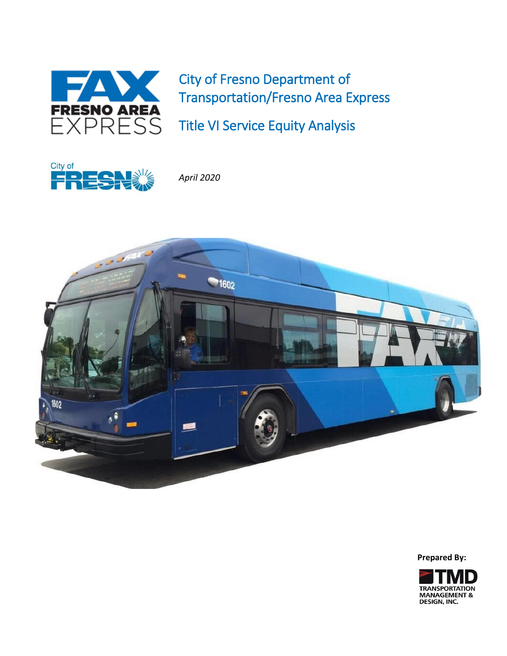

City of Fresno Department of Transportation/Fresno Area Express

Title VI Service Equity Analysis



*April 2020*



**Prepared By:**

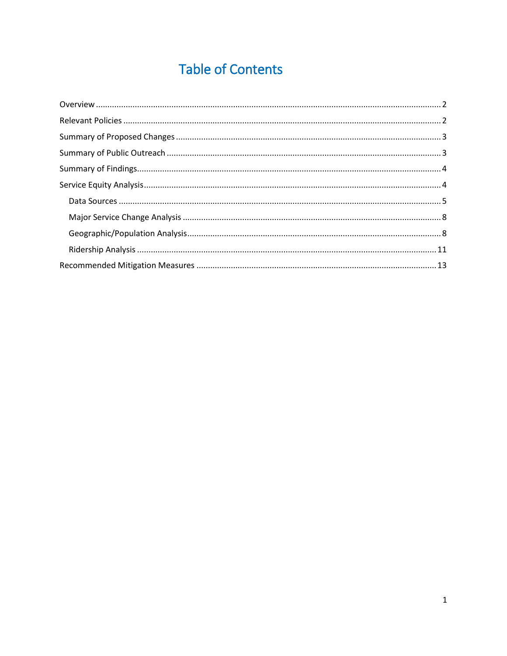# **Table of Contents**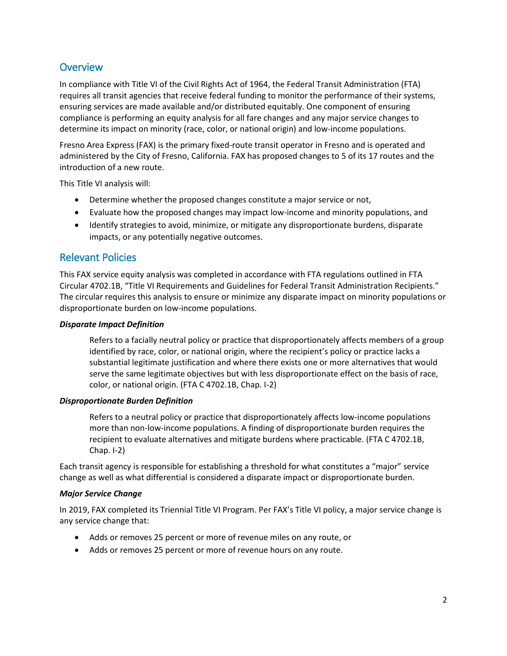# <span id="page-2-0"></span>**Overview**

In compliance with Title VI of the Civil Rights Act of 1964, the Federal Transit Administration (FTA) requires all transit agencies that receive federal funding to monitor the performance of their systems, ensuring services are made available and/or distributed equitably. One component of ensuring compliance is performing an equity analysis for all fare changes and any major service changes to determine its impact on minority (race, color, or national origin) and low-income populations.

Fresno Area Express (FAX) is the primary fixed-route transit operator in Fresno and is operated and administered by the City of Fresno, California. FAX has proposed changes to 5 of its 17 routes and the introduction of a new route.

This Title VI analysis will:

- Determine whether the proposed changes constitute a major service or not,
- Evaluate how the proposed changes may impact low-income and minority populations, and
- Identify strategies to avoid, minimize, or mitigate any disproportionate burdens, disparate impacts, or any potentially negative outcomes.

# <span id="page-2-1"></span>Relevant Policies

This FAX service equity analysis was completed in accordance with FTA regulations outlined in FTA Circular 4702.1B, "Title VI Requirements and Guidelines for Federal Transit Administration Recipients." The circular requires this analysis to ensure or minimize any disparate impact on minority populations or disproportionate burden on low-income populations.

#### *Disparate Impact Definition*

Refers to a facially neutral policy or practice that disproportionately affects members of a group identified by race, color, or national origin, where the recipient's policy or practice lacks a substantial legitimate justification and where there exists one or more alternatives that would serve the same legitimate objectives but with less disproportionate effect on the basis of race, color, or national origin. (FTA C 4702.1B, Chap. I-2)

# *Disproportionate Burden Definition*

Refers to a neutral policy or practice that disproportionately affects low-income populations more than non-low-income populations. A finding of disproportionate burden requires the recipient to evaluate alternatives and mitigate burdens where practicable. (FTA C 4702.1B, Chap. I-2)

Each transit agency is responsible for establishing a threshold for what constitutes a "major" service change as well as what differential is considered a disparate impact or disproportionate burden.

# *Major Service Change*

In 2019, FAX completed its Triennial Title VI Program. Per FAX's Title VI policy, a major service change is any service change that:

- Adds or removes 25 percent or more of revenue miles on any route, or
- Adds or removes 25 percent or more of revenue hours on any route.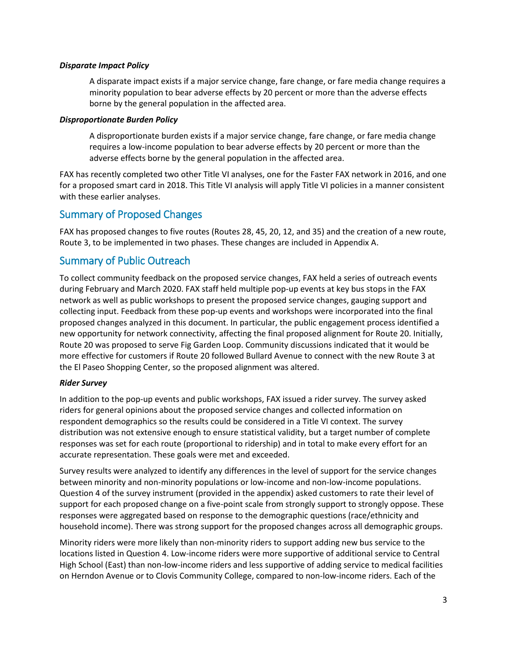# *Disparate Impact Policy*

A disparate impact exists if a major service change, fare change, or fare media change requires a minority population to bear adverse effects by 20 percent or more than the adverse effects borne by the general population in the affected area.

#### *Disproportionate Burden Policy*

A disproportionate burden exists if a major service change, fare change, or fare media change requires a low-income population to bear adverse effects by 20 percent or more than the adverse effects borne by the general population in the affected area.

FAX has recently completed two other Title VI analyses, one for the Faster FAX network in 2016, and one for a proposed smart card in 2018. This Title VI analysis will apply Title VI policies in a manner consistent with these earlier analyses.

# <span id="page-3-0"></span>Summary of Proposed Changes

FAX has proposed changes to five routes (Routes 28, 45, 20, 12, and 35) and the creation of a new route, Route 3, to be implemented in two phases. These changes are included in Appendix A.

# <span id="page-3-1"></span>Summary of Public Outreach

To collect community feedback on the proposed service changes, FAX held a series of outreach events during February and March 2020. FAX staff held multiple pop-up events at key bus stops in the FAX network as well as public workshops to present the proposed service changes, gauging support and collecting input. Feedback from these pop-up events and workshops were incorporated into the final proposed changes analyzed in this document. In particular, the public engagement process identified a new opportunity for network connectivity, affecting the final proposed alignment for Route 20. Initially, Route 20 was proposed to serve Fig Garden Loop. Community discussions indicated that it would be more effective for customers if Route 20 followed Bullard Avenue to connect with the new Route 3 at the El Paseo Shopping Center, so the proposed alignment was altered.

# *Rider Survey*

In addition to the pop-up events and public workshops, FAX issued a rider survey. The survey asked riders for general opinions about the proposed service changes and collected information on respondent demographics so the results could be considered in a Title VI context. The survey distribution was not extensive enough to ensure statistical validity, but a target number of complete responses was set for each route (proportional to ridership) and in total to make every effort for an accurate representation. These goals were met and exceeded.

Survey results were analyzed to identify any differences in the level of support for the service changes between minority and non-minority populations or low-income and non-low-income populations. Question 4 of the survey instrument (provided in the appendix) asked customers to rate their level of support for each proposed change on a five-point scale from strongly support to strongly oppose. These responses were aggregated based on response to the demographic questions (race/ethnicity and household income). There was strong support for the proposed changes across all demographic groups.

Minority riders were more likely than non-minority riders to support adding new bus service to the locations listed in Question 4. Low-income riders were more supportive of additional service to Central High School (East) than non-low-income riders and less supportive of adding service to medical facilities on Herndon Avenue or to Clovis Community College, compared to non-low-income riders. Each of the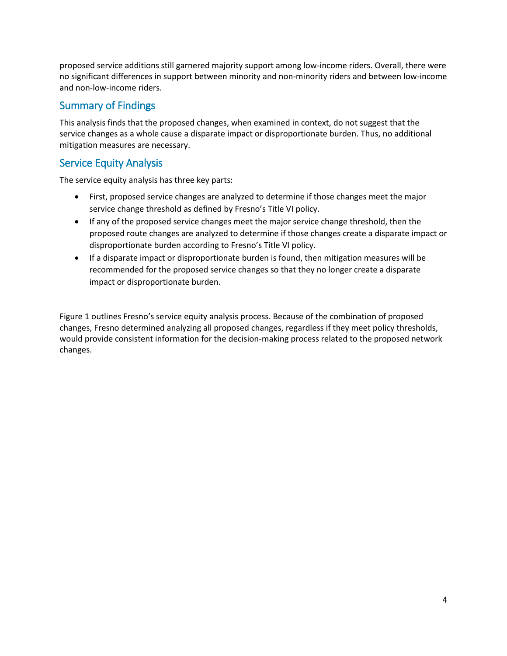proposed service additions still garnered majority support among low-income riders. Overall, there were no significant differences in support between minority and non-minority riders and between low-income and non-low-income riders.

# <span id="page-4-0"></span>Summary of Findings

This analysis finds that the proposed changes, when examined in context, do not suggest that the service changes as a whole cause a disparate impact or disproportionate burden. Thus, no additional mitigation measures are necessary.

# <span id="page-4-1"></span>Service Equity Analysis

The service equity analysis has three key parts:

- First, proposed service changes are analyzed to determine if those changes meet the major service change threshold as defined by Fresno's Title VI policy.
- If any of the proposed service changes meet the major service change threshold, then the proposed route changes are analyzed to determine if those changes create a disparate impact or disproportionate burden according to Fresno's Title VI policy.
- If a disparate impact or disproportionate burden is found, then mitigation measures will be recommended for the proposed service changes so that they no longer create a disparate impact or disproportionate burden.

<span id="page-4-2"></span>[Figure 1](#page-4-2) outlines Fresno's service equity analysis process. Because of the combination of proposed changes, Fresno determined analyzing all proposed changes, regardless if they meet policy thresholds, would provide consistent information for the decision-making process related to the proposed network changes.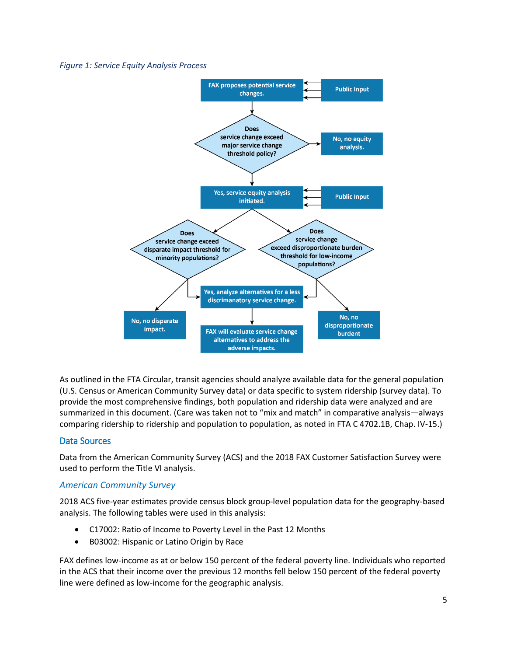#### *Figure 1: Service Equity Analysis Process*



As outlined in the FTA Circular, transit agencies should analyze available data for the general population (U.S. Census or American Community Survey data) or data specific to system ridership (survey data). To provide the most comprehensive findings, both population and ridership data were analyzed and are summarized in this document. (Care was taken not to "mix and match" in comparative analysis—always comparing ridership to ridership and population to population, as noted in FTA C 4702.1B, Chap. IV-15.)

# <span id="page-5-0"></span>Data Sources

Data from the American Community Survey (ACS) and the 2018 FAX Customer Satisfaction Survey were used to perform the Title VI analysis.

# *American Community Survey*

2018 ACS five-year estimates provide census block group-level population data for the geography-based analysis. The following tables were used in this analysis:

- C17002: Ratio of Income to Poverty Level in the Past 12 Months
- B03002: Hispanic or Latino Origin by Race

FAX defines low-income as at or below 150 percent of the federal poverty line. Individuals who reported in the ACS that their income over the previous 12 months fell below 150 percent of the federal poverty line were defined as low-income for the geographic analysis.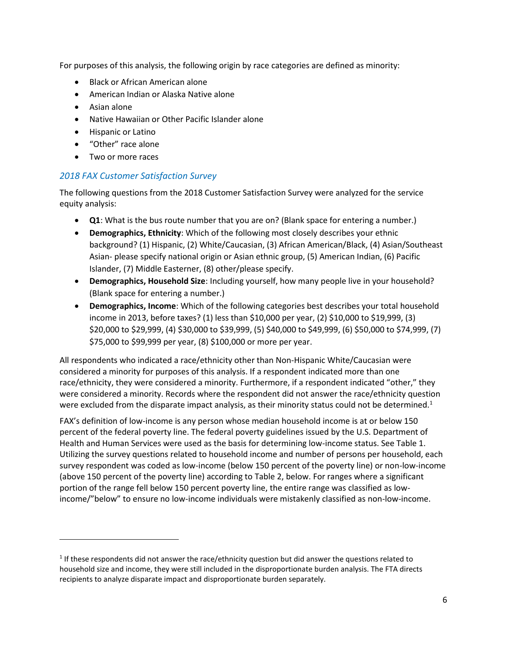For purposes of this analysis, the following origin by race categories are defined as minority:

- Black or African American alone
- American Indian or Alaska Native alone
- Asian alone

l

- Native Hawaiian or Other Pacific Islander alone
- **•** Hispanic or Latino
- "Other" race alone
- Two or more races

# *2018 FAX Customer Satisfaction Survey*

The following questions from the 2018 Customer Satisfaction Survey were analyzed for the service equity analysis:

- **Q1**: What is the bus route number that you are on? (Blank space for entering a number.)
- **Demographics, Ethnicity**: Which of the following most closely describes your ethnic background? (1) Hispanic, (2) White/Caucasian, (3) African American/Black, (4) Asian/Southeast Asian- please specify national origin or Asian ethnic group, (5) American Indian, (6) Pacific Islander, (7) Middle Easterner, (8) other/please specify.
- **Demographics, Household Size**: Including yourself, how many people live in your household? (Blank space for entering a number.)
- **Demographics, Income**: Which of the following categories best describes your total household income in 2013, before taxes? (1) less than \$10,000 per year, (2) \$10,000 to \$19,999, (3) \$20,000 to \$29,999, (4) \$30,000 to \$39,999, (5) \$40,000 to \$49,999, (6) \$50,000 to \$74,999, (7) \$75,000 to \$99,999 per year, (8) \$100,000 or more per year.

All respondents who indicated a race/ethnicity other than Non-Hispanic White/Caucasian were considered a minority for purposes of this analysis. If a respondent indicated more than one race/ethnicity, they were considered a minority. Furthermore, if a respondent indicated "other," they were considered a minority. Records where the respondent did not answer the race/ethnicity question were excluded from the disparate impact analysis, as their minority status could not be determined. $1$ 

FAX's definition of low-income is any person whose median household income is at or below 150 percent of the federal poverty line. The federal poverty guidelines issued by the U.S. Department of Health and Human Services were used as the basis for determining low-income status. See [Table 1.](#page-7-0) Utilizing the survey questions related to household income and number of persons per household, each survey respondent was coded as low-income (below 150 percent of the poverty line) or non-low-income (above 150 percent of the poverty line) according to [Table 2,](#page-7-1) below. For ranges where a significant portion of the range fell below 150 percent poverty line, the entire range was classified as lowincome/"below" to ensure no low-income individuals were mistakenly classified as non-low-income.

 $<sup>1</sup>$  If these respondents did not answer the race/ethnicity question but did answer the questions related to</sup> household size and income, they were still included in the disproportionate burden analysis. The FTA directs recipients to analyze disparate impact and disproportionate burden separately.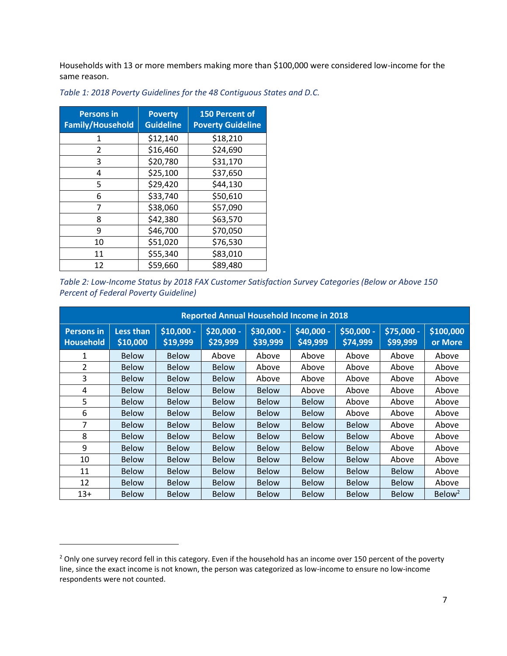Households with 13 or more members making more than \$100,000 were considered low-income for the same reason.

| <b>Persons in</b><br><b>Family/Household</b> | <b>Poverty</b><br><b>Guideline</b> | <b>150 Percent of</b><br><b>Poverty Guideline</b> |
|----------------------------------------------|------------------------------------|---------------------------------------------------|
| 1                                            | \$12,140                           | \$18,210                                          |
| 2                                            | \$16,460                           | \$24,690                                          |
| 3                                            | \$20,780                           | \$31,170                                          |
| 4                                            | \$25,100                           | \$37,650                                          |
| 5                                            | \$29,420                           | \$44,130                                          |
| 6                                            | \$33,740                           | \$50,610                                          |
| 7                                            | \$38,060                           | \$57,090                                          |
| 8                                            | \$42,380                           | \$63,570                                          |
| 9                                            | \$46,700                           | \$70,050                                          |
| 10                                           | \$51,020                           | \$76,530                                          |
| 11                                           | \$55,340                           | \$83,010                                          |
| 12                                           | \$59,660                           | \$89,480                                          |

l

<span id="page-7-0"></span>*Table 1: 2018 Poverty Guidelines for the 48 Contiguous States and D.C.*

<span id="page-7-1"></span>*Table 2: Low-Income Status by 2018 FAX Customer Satisfaction Survey Categories (Below or Above 150 Percent of Federal Poverty Guideline)*

| <b>Reported Annual Household Income in 2018</b> |                              |                         |                        |                        |                        |                        |                        |                      |
|-------------------------------------------------|------------------------------|-------------------------|------------------------|------------------------|------------------------|------------------------|------------------------|----------------------|
| <b>Persons in</b><br><b>Household</b>           | <b>Less than</b><br>\$10,000 | $$10,000 -$<br>\$19,999 | \$20,000 -<br>\$29,999 | \$30,000 -<br>\$39,999 | \$40,000 -<br>\$49,999 | \$50,000 -<br>\$74,999 | \$75,000 -<br>\$99,999 | \$100,000<br>or More |
| 1                                               | <b>Below</b>                 | <b>Below</b>            | Above                  | Above                  | Above                  | Above                  | Above                  | Above                |
| 2                                               | <b>Below</b>                 | <b>Below</b>            | <b>Below</b>           | Above                  | Above                  | Above                  | Above                  | Above                |
| 3                                               | <b>Below</b>                 | <b>Below</b>            | <b>Below</b>           | Above                  | Above                  | Above                  | Above                  | Above                |
| 4                                               | <b>Below</b>                 | <b>Below</b>            | <b>Below</b>           | <b>Below</b>           | Above                  | Above                  | Above                  | Above                |
| 5                                               | <b>Below</b>                 | <b>Below</b>            | <b>Below</b>           | <b>Below</b>           | <b>Below</b>           | Above                  | Above                  | Above                |
| 6                                               | <b>Below</b>                 | <b>Below</b>            | <b>Below</b>           | <b>Below</b>           | <b>Below</b>           | Above                  | Above                  | Above                |
| 7                                               | <b>Below</b>                 | Below                   | <b>Below</b>           | <b>Below</b>           | <b>Below</b>           | <b>Below</b>           | Above                  | Above                |
| 8                                               | <b>Below</b>                 | <b>Below</b>            | <b>Below</b>           | <b>Below</b>           | <b>Below</b>           | <b>Below</b>           | Above                  | Above                |
| 9                                               | <b>Below</b>                 | <b>Below</b>            | <b>Below</b>           | <b>Below</b>           | <b>Below</b>           | <b>Below</b>           | Above                  | Above                |
| 10                                              | <b>Below</b>                 | <b>Below</b>            | <b>Below</b>           | <b>Below</b>           | <b>Below</b>           | <b>Below</b>           | Above                  | Above                |
| 11                                              | <b>Below</b>                 | <b>Below</b>            | <b>Below</b>           | <b>Below</b>           | <b>Below</b>           | <b>Below</b>           | <b>Below</b>           | Above                |
| 12                                              | <b>Below</b>                 | <b>Below</b>            | <b>Below</b>           | <b>Below</b>           | <b>Below</b>           | <b>Below</b>           | <b>Below</b>           | Above                |
| $13+$                                           | <b>Below</b>                 | <b>Below</b>            | <b>Below</b>           | <b>Below</b>           | <b>Below</b>           | <b>Below</b>           | <b>Below</b>           | Below <sup>2</sup>   |

<sup>&</sup>lt;sup>2</sup> Only one survey record fell in this category. Even if the household has an income over 150 percent of the poverty line, since the exact income is not known, the person was categorized as low-income to ensure no low-income respondents were not counted.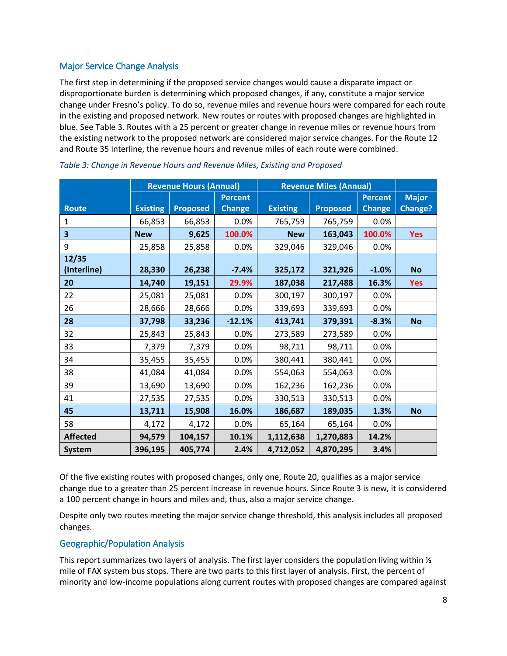# <span id="page-8-0"></span>Major Service Change Analysis

The first step in determining if the proposed service changes would cause a disparate impact or disproportionate burden is determining which proposed changes, if any, constitute a major service change under Fresno's policy. To do so, revenue miles and revenue hours were compared for each route in the existing and proposed network. New routes or routes with proposed changes are highlighted in blue. See [Table 3.](#page-8-2) Routes with a 25 percent or greater change in revenue miles or revenue hours from the existing network to the proposed network are considered major service changes. For the Route 12 and Route 35 interline, the revenue hours and revenue miles of each route were combined.

|                 | <b>Revenue Hours (Annual)</b> |                 | <b>Revenue Miles (Annual)</b> |                 |                 |                |                |
|-----------------|-------------------------------|-----------------|-------------------------------|-----------------|-----------------|----------------|----------------|
|                 |                               |                 | <b>Percent</b>                |                 |                 | <b>Percent</b> | <b>Major</b>   |
| <b>Route</b>    | <b>Existing</b>               | <b>Proposed</b> | <b>Change</b>                 | <b>Existing</b> | <b>Proposed</b> | <b>Change</b>  | <b>Change?</b> |
| 1               | 66,853                        | 66,853          | 0.0%                          | 765,759         | 765,759         | 0.0%           |                |
| 3               | <b>New</b>                    | 9,625           | 100.0%                        | <b>New</b>      | 163,043         | 100.0%         | <b>Yes</b>     |
| 9               | 25,858                        | 25,858          | 0.0%                          | 329,046         | 329,046         | 0.0%           |                |
| 12/35           |                               |                 |                               |                 |                 |                |                |
| (Interline)     | 28,330                        | 26,238          | $-7.4%$                       | 325,172         | 321,926         | $-1.0%$        | <b>No</b>      |
| 20              | 14,740                        | 19,151          | 29.9%                         | 187,038         | 217,488         | 16.3%          | <b>Yes</b>     |
| 22              | 25,081                        | 25,081          | 0.0%                          | 300,197         | 300,197         | 0.0%           |                |
| 26              | 28,666                        | 28,666          | 0.0%                          | 339,693         | 339,693         | 0.0%           |                |
| 28              | 37,798                        | 33,236          | $-12.1%$                      | 413,741         | 379,391         | $-8.3%$        | <b>No</b>      |
| 32              | 25,843                        | 25,843          | 0.0%                          | 273,589         | 273,589         | 0.0%           |                |
| 33              | 7,379                         | 7,379           | 0.0%                          | 98,711          | 98,711          | 0.0%           |                |
| 34              | 35,455                        | 35,455          | 0.0%                          | 380,441         | 380,441         | 0.0%           |                |
| 38              | 41,084                        | 41,084          | 0.0%                          | 554,063         | 554,063         | 0.0%           |                |
| 39              | 13,690                        | 13,690          | 0.0%                          | 162,236         | 162,236         | 0.0%           |                |
| 41              | 27,535                        | 27,535          | 0.0%                          | 330,513         | 330,513         | 0.0%           |                |
| 45              | 13,711                        | 15,908          | 16.0%                         | 186,687         | 189,035         | 1.3%           | <b>No</b>      |
| 58              | 4,172                         | 4,172           | 0.0%                          | 65,164          | 65,164          | 0.0%           |                |
| <b>Affected</b> | 94,579                        | 104,157         | 10.1%                         | 1,112,638       | 1,270,883       | 14.2%          |                |
| <b>System</b>   | 396,195                       | 405,774         | 2.4%                          | 4,712,052       | 4,870,295       | 3.4%           |                |

<span id="page-8-2"></span>

| Table 3: Change in Revenue Hours and Revenue Miles, Existing and Proposed |  |  |
|---------------------------------------------------------------------------|--|--|
|---------------------------------------------------------------------------|--|--|

Of the five existing routes with proposed changes, only one, Route 20, qualifies as a major service change due to a greater than 25 percent increase in revenue hours. Since Route 3 is new, it is considered a 100 percent change in hours and miles and, thus, also a major service change.

Despite only two routes meeting the major service change threshold, this analysis includes all proposed changes.

# <span id="page-8-1"></span>Geographic/Population Analysis

This report summarizes two layers of analysis. The first layer considers the population living within  $\frac{1}{2}$ mile of FAX system bus stops. There are two parts to this first layer of analysis. First, the percent of minority and low-income populations along current routes with proposed changes are compared against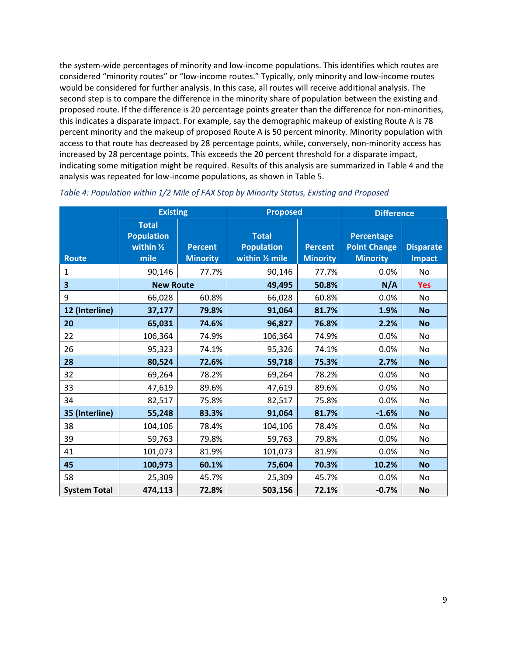the system-wide percentages of minority and low-income populations. This identifies which routes are considered "minority routes" or "low-income routes." Typically, only minority and low-income routes would be considered for further analysis. In this case, all routes will receive additional analysis. The second step is to compare the difference in the minority share of population between the existing and proposed route. If the difference is 20 percentage points greater than the difference for non-minorities, this indicates a disparate impact. For example, say the demographic makeup of existing Route A is 78 percent minority and the makeup of proposed Route A is 50 percent minority. Minority population with access to that route has decreased by 28 percentage points, while, conversely, non-minority access has increased by 28 percentage points. This exceeds the 20 percent threshold for a disparate impact, indicating some mitigation might be required. Results of this analysis are summarized in [Table 4](#page-9-0) and the analysis was repeated for low-income populations, as shown in [Table 5.](#page-10-0)

|                         | <b>Existing</b>                                                   |                                   | <b>Proposed</b>                                      |                                   | <b>Difference</b>                                           |                                   |
|-------------------------|-------------------------------------------------------------------|-----------------------------------|------------------------------------------------------|-----------------------------------|-------------------------------------------------------------|-----------------------------------|
| <b>Route</b>            | <b>Total</b><br><b>Population</b><br>within $\frac{1}{2}$<br>mile | <b>Percent</b><br><b>Minority</b> | <b>Total</b><br><b>Population</b><br>within 1/2 mile | <b>Percent</b><br><b>Minority</b> | <b>Percentage</b><br><b>Point Change</b><br><b>Minority</b> | <b>Disparate</b><br><b>Impact</b> |
| 1                       | 90,146                                                            | 77.7%                             | 90,146                                               | 77.7%                             | 0.0%                                                        | <b>No</b>                         |
| $\overline{\mathbf{3}}$ | <b>New Route</b>                                                  |                                   | 49,495                                               | 50.8%                             | N/A                                                         | <b>Yes</b>                        |
| 9                       | 66,028                                                            | 60.8%                             | 66,028                                               | 60.8%                             | 0.0%                                                        | No                                |
| 12 (Interline)          | 37,177                                                            | 79.8%                             | 91,064                                               | 81.7%                             | 1.9%                                                        | <b>No</b>                         |
| 20                      | 65,031                                                            | 74.6%                             | 96,827                                               | 76.8%                             | 2.2%                                                        | <b>No</b>                         |
| 22                      | 106,364                                                           | 74.9%                             | 106,364                                              | 74.9%                             | 0.0%                                                        | No.                               |
| 26                      | 95,323                                                            | 74.1%                             | 95,326                                               | 74.1%                             | 0.0%                                                        | <b>No</b>                         |
| 28                      | 80,524                                                            | 72.6%                             | 59,718                                               | 75.3%                             | 2.7%                                                        | <b>No</b>                         |
| 32                      | 69,264                                                            | 78.2%                             | 69,264                                               | 78.2%                             | 0.0%                                                        | No.                               |
| 33                      | 47,619                                                            | 89.6%                             | 47,619                                               | 89.6%                             | 0.0%                                                        | No                                |
| 34                      | 82,517                                                            | 75.8%                             | 82,517                                               | 75.8%                             | 0.0%                                                        | <b>No</b>                         |
| 35 (Interline)          | 55,248                                                            | 83.3%                             | 91,064                                               | 81.7%                             | $-1.6%$                                                     | <b>No</b>                         |
| 38                      | 104,106                                                           | 78.4%                             | 104,106                                              | 78.4%                             | 0.0%                                                        | No.                               |
| 39                      | 59,763                                                            | 79.8%                             | 59,763                                               | 79.8%                             | 0.0%                                                        | <b>No</b>                         |
| 41                      | 101,073                                                           | 81.9%                             | 101,073                                              | 81.9%                             | 0.0%                                                        | No.                               |
| 45                      | 100,973                                                           | 60.1%                             | 75,604                                               | 70.3%                             | 10.2%                                                       | <b>No</b>                         |
| 58                      | 25,309                                                            | 45.7%                             | 25,309                                               | 45.7%                             | 0.0%                                                        | No                                |
| <b>System Total</b>     | 474,113                                                           | 72.8%                             | 503,156                                              | 72.1%                             | $-0.7%$                                                     | <b>No</b>                         |

<span id="page-9-0"></span>*Table 4: Population within 1/2 Mile of FAX Stop by Minority Status, Existing and Proposed*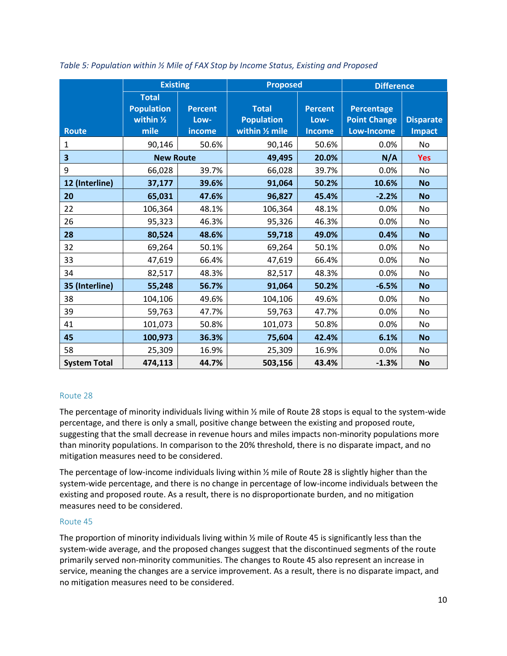|                         | <b>Existing</b>                                                   |                                  | <b>Proposed</b>                                      |                                         |                                                        | <b>Difference</b>                 |  |
|-------------------------|-------------------------------------------------------------------|----------------------------------|------------------------------------------------------|-----------------------------------------|--------------------------------------------------------|-----------------------------------|--|
| <b>Route</b>            | <b>Total</b><br><b>Population</b><br>within $\frac{1}{2}$<br>mile | <b>Percent</b><br>Low-<br>income | <b>Total</b><br><b>Population</b><br>within 1/2 mile | <b>Percent</b><br>Low-<br><b>Income</b> | <b>Percentage</b><br><b>Point Change</b><br>Low-Income | <b>Disparate</b><br><b>Impact</b> |  |
| 1                       | 90,146                                                            | 50.6%                            | 90,146                                               | 50.6%                                   | 0.0%                                                   | No                                |  |
| $\overline{\mathbf{3}}$ | <b>New Route</b>                                                  |                                  | 49,495                                               | 20.0%                                   | N/A                                                    | <b>Yes</b>                        |  |
| 9                       | 66,028                                                            | 39.7%                            | 66,028                                               | 39.7%                                   | 0.0%                                                   | No                                |  |
| 12 (Interline)          | 37,177                                                            | 39.6%                            | 91,064                                               | 50.2%                                   | 10.6%                                                  | <b>No</b>                         |  |
| 20                      | 65,031                                                            | 47.6%                            | 96,827                                               | 45.4%                                   | $-2.2%$                                                | <b>No</b>                         |  |
| 22                      | 106,364                                                           | 48.1%                            | 106,364                                              | 48.1%                                   | 0.0%                                                   | <b>No</b>                         |  |
| 26                      | 95,323                                                            | 46.3%                            | 95,326                                               | 46.3%                                   | 0.0%                                                   | No                                |  |
| 28                      | 80,524                                                            | 48.6%                            | 59,718                                               | 49.0%                                   | 0.4%                                                   | <b>No</b>                         |  |
| 32                      | 69,264                                                            | 50.1%                            | 69,264                                               | 50.1%                                   | 0.0%                                                   | <b>No</b>                         |  |
| 33                      | 47,619                                                            | 66.4%                            | 47,619                                               | 66.4%                                   | 0.0%                                                   | <b>No</b>                         |  |
| 34                      | 82,517                                                            | 48.3%                            | 82,517                                               | 48.3%                                   | 0.0%                                                   | <b>No</b>                         |  |
| 35 (Interline)          | 55,248                                                            | 56.7%                            | 91,064                                               | 50.2%                                   | $-6.5%$                                                | <b>No</b>                         |  |
| 38                      | 104,106                                                           | 49.6%                            | 104,106                                              | 49.6%                                   | 0.0%                                                   | No                                |  |
| 39                      | 59,763                                                            | 47.7%                            | 59,763                                               | 47.7%                                   | 0.0%                                                   | <b>No</b>                         |  |
| 41                      | 101,073                                                           | 50.8%                            | 101,073                                              | 50.8%                                   | 0.0%                                                   | <b>No</b>                         |  |
| 45                      | 100,973                                                           | 36.3%                            | 75,604                                               | 42.4%                                   | 6.1%                                                   | <b>No</b>                         |  |
| 58                      | 25,309                                                            | 16.9%                            | 25,309                                               | 16.9%                                   | 0.0%                                                   | No                                |  |
| <b>System Total</b>     | 474,113                                                           | 44.7%                            | 503,156                                              | 43.4%                                   | $-1.3%$                                                | <b>No</b>                         |  |

<span id="page-10-0"></span>*Table 5: Population within ½ Mile of FAX Stop by Income Status, Existing and Proposed*

# Route 28

The percentage of minority individuals living within ½ mile of Route 28 stops is equal to the system-wide percentage, and there is only a small, positive change between the existing and proposed route, suggesting that the small decrease in revenue hours and miles impacts non-minority populations more than minority populations. In comparison to the 20% threshold, there is no disparate impact, and no mitigation measures need to be considered.

The percentage of low-income individuals living within ½ mile of Route 28 is slightly higher than the system-wide percentage, and there is no change in percentage of low-income individuals between the existing and proposed route. As a result, there is no disproportionate burden, and no mitigation measures need to be considered.

# Route 45

The proportion of minority individuals living within ½ mile of Route 45 is significantly less than the system-wide average, and the proposed changes suggest that the discontinued segments of the route primarily served non-minority communities. The changes to Route 45 also represent an increase in service, meaning the changes are a service improvement. As a result, there is no disparate impact, and no mitigation measures need to be considered.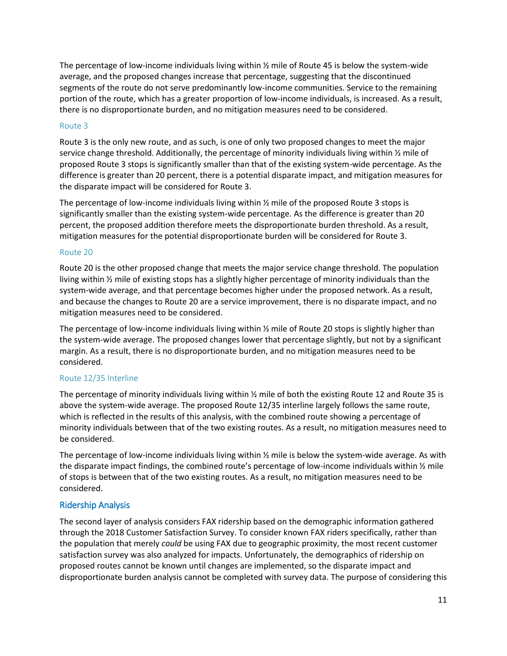The percentage of low-income individuals living within ½ mile of Route 45 is below the system-wide average, and the proposed changes increase that percentage, suggesting that the discontinued segments of the route do not serve predominantly low-income communities. Service to the remaining portion of the route, which has a greater proportion of low-income individuals, is increased. As a result, there is no disproportionate burden, and no mitigation measures need to be considered.

# Route 3

Route 3 is the only new route, and as such, is one of only two proposed changes to meet the major service change threshold. Additionally, the percentage of minority individuals living within ½ mile of proposed Route 3 stops is significantly smaller than that of the existing system-wide percentage. As the difference is greater than 20 percent, there is a potential disparate impact, and mitigation measures for the disparate impact will be considered for Route 3.

The percentage of low-income individuals living within ½ mile of the proposed Route 3 stops is significantly smaller than the existing system-wide percentage. As the difference is greater than 20 percent, the proposed addition therefore meets the disproportionate burden threshold. As a result, mitigation measures for the potential disproportionate burden will be considered for Route 3.

#### Route 20

Route 20 is the other proposed change that meets the major service change threshold. The population living within ½ mile of existing stops has a slightly higher percentage of minority individuals than the system-wide average, and that percentage becomes higher under the proposed network. As a result, and because the changes to Route 20 are a service improvement, there is no disparate impact, and no mitigation measures need to be considered.

The percentage of low-income individuals living within ½ mile of Route 20 stops is slightly higher than the system-wide average. The proposed changes lower that percentage slightly, but not by a significant margin. As a result, there is no disproportionate burden, and no mitigation measures need to be considered.

# Route 12/35 Interline

The percentage of minority individuals living within ½ mile of both the existing Route 12 and Route 35 is above the system-wide average. The proposed Route 12/35 interline largely follows the same route, which is reflected in the results of this analysis, with the combined route showing a percentage of minority individuals between that of the two existing routes. As a result, no mitigation measures need to be considered.

The percentage of low-income individuals living within ½ mile is below the system-wide average. As with the disparate impact findings, the combined route's percentage of low-income individuals within 1/2 mile of stops is between that of the two existing routes. As a result, no mitigation measures need to be considered.

# <span id="page-11-0"></span>Ridership Analysis

The second layer of analysis considers FAX ridership based on the demographic information gathered through the 2018 Customer Satisfaction Survey. To consider known FAX riders specifically, rather than the population that merely *could* be using FAX due to geographic proximity, the most recent customer satisfaction survey was also analyzed for impacts. Unfortunately, the demographics of ridership on proposed routes cannot be known until changes are implemented, so the disparate impact and disproportionate burden analysis cannot be completed with survey data. The purpose of considering this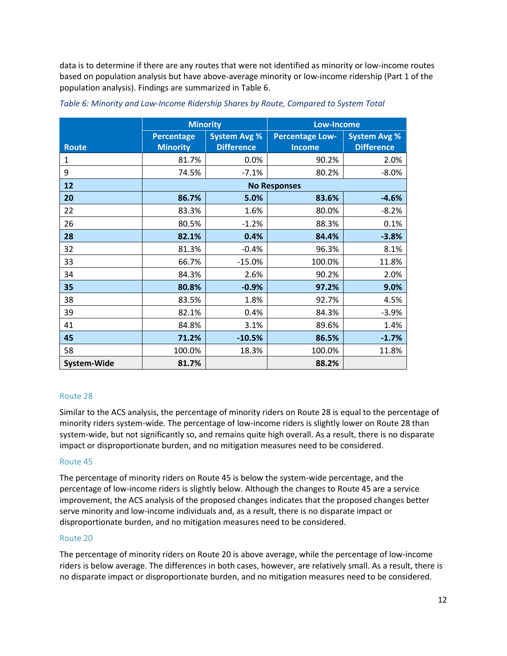data is to determine if there are any routes that were not identified as minority or low-income routes based on population analysis but have above-average minority or low-income ridership (Part 1 of the population analysis). Findings are summarized in [Table 6.](#page-12-0)

|                    | <b>Minority</b>   |                                               | <b>Low-Income</b>   |                     |  |
|--------------------|-------------------|-----------------------------------------------|---------------------|---------------------|--|
|                    | <b>Percentage</b> | <b>System Avg %</b><br><b>Percentage Low-</b> |                     | <b>System Avg %</b> |  |
| <b>Route</b>       | <b>Minority</b>   | <b>Difference</b>                             | <b>Income</b>       | <b>Difference</b>   |  |
| 1                  | 81.7%             | 0.0%                                          | 90.2%               | 2.0%                |  |
| 9                  | 74.5%             | $-7.1%$                                       | 80.2%               | $-8.0%$             |  |
| 12                 |                   |                                               | <b>No Responses</b> |                     |  |
| 20                 | 86.7%             | 5.0%                                          | 83.6%               | $-4.6%$             |  |
| 22                 | 83.3%             | 1.6%                                          | 80.0%               | $-8.2%$             |  |
| 26                 | 80.5%             | $-1.2%$                                       | 88.3%               | 0.1%                |  |
| 28                 | 82.1%             | 0.4%                                          | 84.4%               | $-3.8%$             |  |
| 32                 | 81.3%             | $-0.4%$                                       | 96.3%               | 8.1%                |  |
| 33                 | 66.7%             | $-15.0%$                                      | 100.0%              | 11.8%               |  |
| 34                 | 84.3%             | 2.6%                                          | 90.2%               | 2.0%                |  |
| 35                 | 80.8%             | $-0.9%$                                       | 97.2%               | 9.0%                |  |
| 38                 | 83.5%             | 1.8%                                          | 92.7%               | 4.5%                |  |
| 39                 | 82.1%             | 0.4%                                          | 84.3%               | $-3.9%$             |  |
| 41                 | 84.8%             | 3.1%                                          | 89.6%               | 1.4%                |  |
| 45                 | 71.2%             | $-10.5%$                                      | 86.5%               | $-1.7%$             |  |
| 58                 | 100.0%            | 18.3%                                         | 100.0%              | 11.8%               |  |
| <b>System-Wide</b> | 81.7%             |                                               | 88.2%               |                     |  |

<span id="page-12-0"></span>

| Table 6: Minority and Low-Income Ridership Shares by Route, Compared to System Total |  |  |
|--------------------------------------------------------------------------------------|--|--|
|--------------------------------------------------------------------------------------|--|--|

# Route 28

Similar to the ACS analysis, the percentage of minority riders on Route 28 is equal to the percentage of minority riders system-wide. The percentage of low-income riders is slightly lower on Route 28 than system-wide, but not significantly so, and remains quite high overall. As a result, there is no disparate impact or disproportionate burden, and no mitigation measures need to be considered.

# Route 45

The percentage of minority riders on Route 45 is below the system-wide percentage, and the percentage of low-income riders is slightly below. Although the changes to Route 45 are a service improvement, the ACS analysis of the proposed changes indicates that the proposed changes better serve minority and low-income individuals and, as a result, there is no disparate impact or disproportionate burden, and no mitigation measures need to be considered.

#### Route 20

The percentage of minority riders on Route 20 is above average, while the percentage of low-income riders is below average. The differences in both cases, however, are relatively small. As a result, there is no disparate impact or disproportionate burden, and no mitigation measures need to be considered.